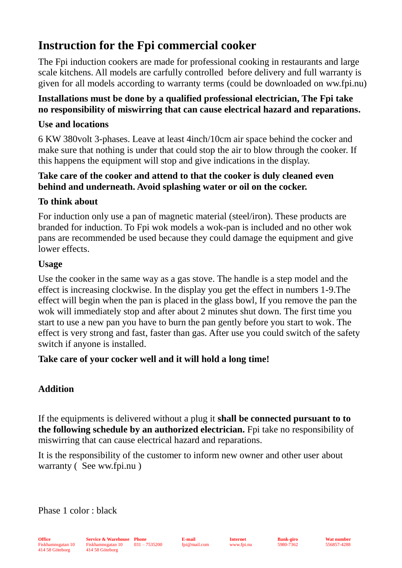# **Instruction for the Fpi commercial cooker**

The Fpi induction cookers are made for professional cooking in restaurants and large scale kitchens. All models are carfully controlled before delivery and full warranty is given for all models according to warranty terms (could be downloaded on ww.fpi.nu)

### **Installations must be done by a qualified professional electrician, The Fpi take no responsibility of miswirring that can cause electrical hazard and reparations.**

### **Use and locations**

6 KW 380volt 3-phases. Leave at least 4inch/10cm air space behind the cocker and make sure that nothing is under that could stop the air to blow through the cooker. If this happens the equipment will stop and give indications in the display.

#### **Take care of the cooker and attend to that the cooker is duly cleaned even behind and underneath. Avoid splashing water or oil on the cocker.**

# **To think about**

For induction only use a pan of magnetic material (steel/iron). These products are branded for induction. To Fpi wok models a wok-pan is included and no other wok pans are recommended be used because they could damage the equipment and give lower effects.

#### **Usage**

Use the cooker in the same way as a gas stove. The handle is a step model and the effect is increasing clockwise. In the display you get the effect in numbers 1-9.The effect will begin when the pan is placed in the glass bowl, If you remove the pan the wok will immediately stop and after about 2 minutes shut down. The first time you start to use a new pan you have to burn the pan gently before you start to wok. The effect is very strong and fast, faster than gas. After use you could switch of the safety switch if anyone is installed.

# **Take care of your cocker well and it will hold a long time!**

# **Addition**

If the equipments is delivered without a plug it **shall be connected pursuant to to the following schedule by an authorized electrician.** Fpi take no responsibility of miswirring that can cause electrical hazard and reparations.

It is the responsibility of the customer to inform new owner and other user about warranty ( See ww.fpi.nu )

Phase 1 color : black